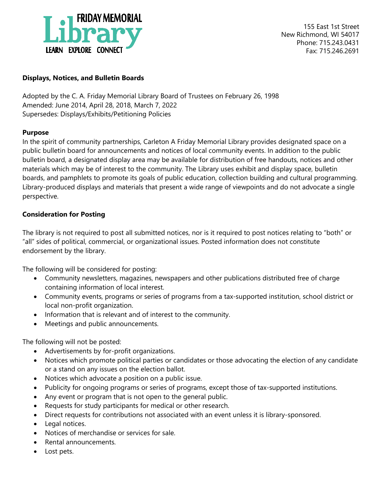

155 East 1st Street New Richmond, WI 54017 Phone: 715.243.0431 Fax: 715.246.2691

## **Displays, Notices, and Bulletin Boards**

Adopted by the C. A. Friday Memorial Library Board of Trustees on February 26, 1998 Amended: June 2014, April 28, 2018, March 7, 2022 Supersedes: Displays/Exhibits/Petitioning Policies

### **Purpose**

In the spirit of community partnerships, Carleton A Friday Memorial Library provides designated space on a public bulletin board for announcements and notices of local community events. In addition to the public bulletin board, a designated display area may be available for distribution of free handouts, notices and other materials which may be of interest to the community. The Library uses exhibit and display space, bulletin boards, and pamphlets to promote its goals of public education, collection building and cultural programming. Library-produced displays and materials that present a wide range of viewpoints and do not advocate a single perspective.

# **Consideration for Posting**

The library is not required to post all submitted notices, nor is it required to post notices relating to "both" or "all" sides of political, commercial, or organizational issues. Posted information does not constitute endorsement by the library.

The following will be considered for posting:

- Community newsletters, magazines, newspapers and other publications distributed free of charge containing information of local interest.
- Community events, programs or series of programs from a tax-supported institution, school district or local non-profit organization.
- Information that is relevant and of interest to the community.
- Meetings and public announcements.

The following will not be posted:

- Advertisements by for-profit organizations.
- Notices which promote political parties or candidates or those advocating the election of any candidate or a stand on any issues on the election ballot.
- Notices which advocate a position on a public issue.
- Publicity for ongoing programs or series of programs, except those of tax-supported institutions.
- Any event or program that is not open to the general public.
- Requests for study participants for medical or other research.
- Direct requests for contributions not associated with an event unless it is library-sponsored.
- Legal notices.
- Notices of merchandise or services for sale.
- Rental announcements.
- Lost pets.